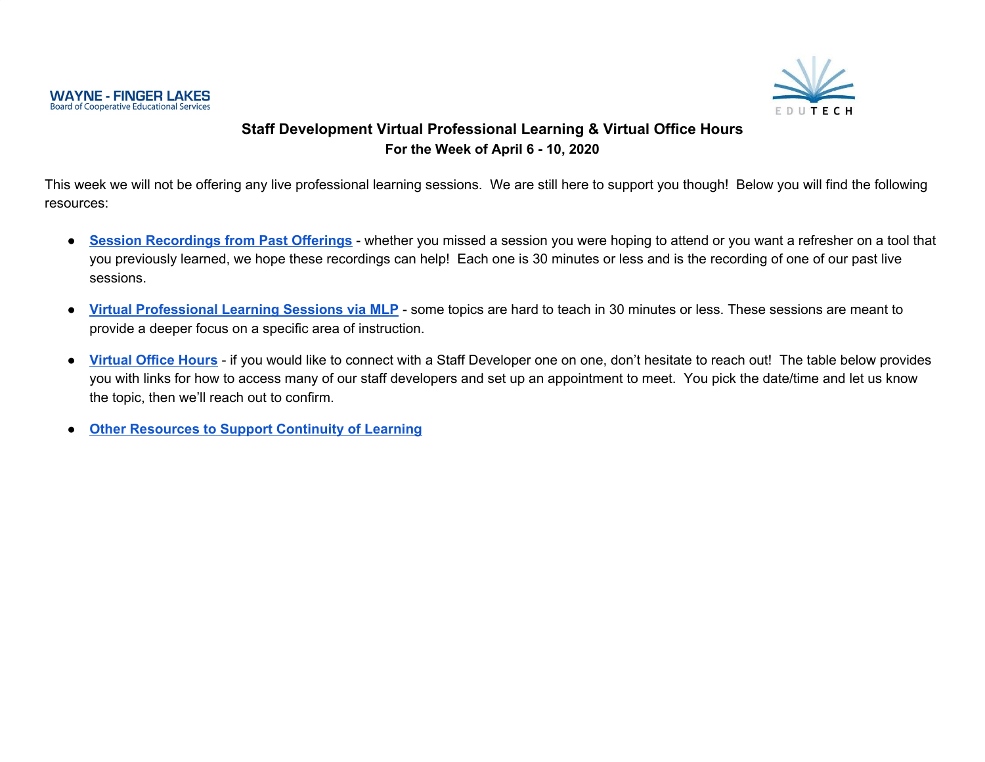

## **Staff Development Virtual Professional Learning & Virtual Office Hours For the Week of April 6 - 10, 2020**

This week we will not be offering any live professional learning sessions. We are still here to support you though! Below you will find the following resources:

- **Session [Recordings](#page-1-0) from Past Offerings** whether you missed a session you were hoping to attend or you want a refresher on a tool that you previously learned, we hope these recordings can help! Each one is 30 minutes or less and is the recording of one of our past live sessions.
- **Virtual [Professional](#page-2-0) Learning Sessions via MLP** some topics are hard to teach in 30 minutes or less. These sessions are meant to provide a deeper focus on a specific area of instruction.
- **[Virtual](#page-3-0) Office Hours** if you would like to connect with a Staff Developer one on one, don't hesitate to reach out! The table below provides you with links for how to access many of our staff developers and set up an appointment to meet. You pick the date/time and let us know the topic, then we'll reach out to confirm.
- **● Other [Resources](#page-4-0) to Support Continuity of Learning**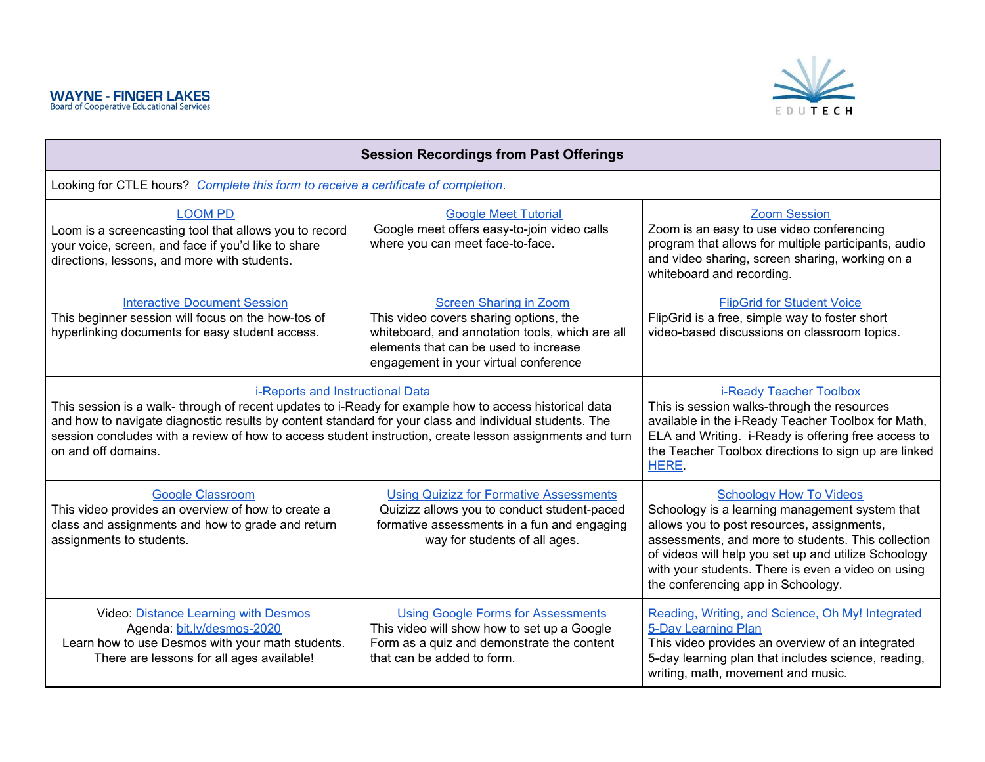

<span id="page-1-0"></span>

| <b>Session Recordings from Past Offerings</b>                                                                                                                                                                                                                                                                                                                                           |                                                                                                                                                                                                              |                                                                                                                                                                                                                                                                                                                                          |  |  |  |  |
|-----------------------------------------------------------------------------------------------------------------------------------------------------------------------------------------------------------------------------------------------------------------------------------------------------------------------------------------------------------------------------------------|--------------------------------------------------------------------------------------------------------------------------------------------------------------------------------------------------------------|------------------------------------------------------------------------------------------------------------------------------------------------------------------------------------------------------------------------------------------------------------------------------------------------------------------------------------------|--|--|--|--|
| Looking for CTLE hours? Complete this form to receive a certificate of completion.                                                                                                                                                                                                                                                                                                      |                                                                                                                                                                                                              |                                                                                                                                                                                                                                                                                                                                          |  |  |  |  |
| <b>LOOM PD</b><br>Loom is a screencasting tool that allows you to record<br>your voice, screen, and face if you'd like to share<br>directions, lessons, and more with students.                                                                                                                                                                                                         | <b>Google Meet Tutorial</b><br>Google meet offers easy-to-join video calls<br>where you can meet face-to-face.                                                                                               | <b>Zoom Session</b><br>Zoom is an easy to use video conferencing<br>program that allows for multiple participants, audio<br>and video sharing, screen sharing, working on a<br>whiteboard and recording.                                                                                                                                 |  |  |  |  |
| <b>Interactive Document Session</b><br>This beginner session will focus on the how-tos of<br>hyperlinking documents for easy student access.                                                                                                                                                                                                                                            | <b>Screen Sharing in Zoom</b><br>This video covers sharing options, the<br>whiteboard, and annotation tools, which are all<br>elements that can be used to increase<br>engagement in your virtual conference | <b>FlipGrid for Student Voice</b><br>FlipGrid is a free, simple way to foster short<br>video-based discussions on classroom topics.                                                                                                                                                                                                      |  |  |  |  |
| i-Reports and Instructional Data<br>This session is a walk- through of recent updates to i-Ready for example how to access historical data<br>and how to navigate diagnostic results by content standard for your class and individual students. The<br>session concludes with a review of how to access student instruction, create lesson assignments and turn<br>on and off domains. |                                                                                                                                                                                                              | <b>i-Ready Teacher Toolbox</b><br>This is session walks-through the resources<br>available in the i-Ready Teacher Toolbox for Math,<br>ELA and Writing. i-Ready is offering free access to<br>the Teacher Toolbox directions to sign up are linked<br>HERE.                                                                              |  |  |  |  |
| <b>Google Classroom</b><br>This video provides an overview of how to create a<br>class and assignments and how to grade and return<br>assignments to students.                                                                                                                                                                                                                          | <b>Using Quizizz for Formative Assessments</b><br>Quizizz allows you to conduct student-paced<br>formative assessments in a fun and engaging<br>way for students of all ages.                                | <b>Schoology How To Videos</b><br>Schoology is a learning management system that<br>allows you to post resources, assignments,<br>assessments, and more to students. This collection<br>of videos will help you set up and utilize Schoology<br>with your students. There is even a video on using<br>the conferencing app in Schoology. |  |  |  |  |
| <b>Video: Distance Learning with Desmos</b><br>Agenda: bit.ly/desmos-2020<br>Learn how to use Desmos with your math students.<br>There are lessons for all ages available!                                                                                                                                                                                                              | <b>Using Google Forms for Assessments</b><br>This video will show how to set up a Google<br>Form as a quiz and demonstrate the content<br>that can be added to form.                                         | Reading, Writing, and Science, Oh My! Integrated<br>5-Day Learning Plan<br>This video provides an overview of an integrated<br>5-day learning plan that includes science, reading,<br>writing, math, movement and music.                                                                                                                 |  |  |  |  |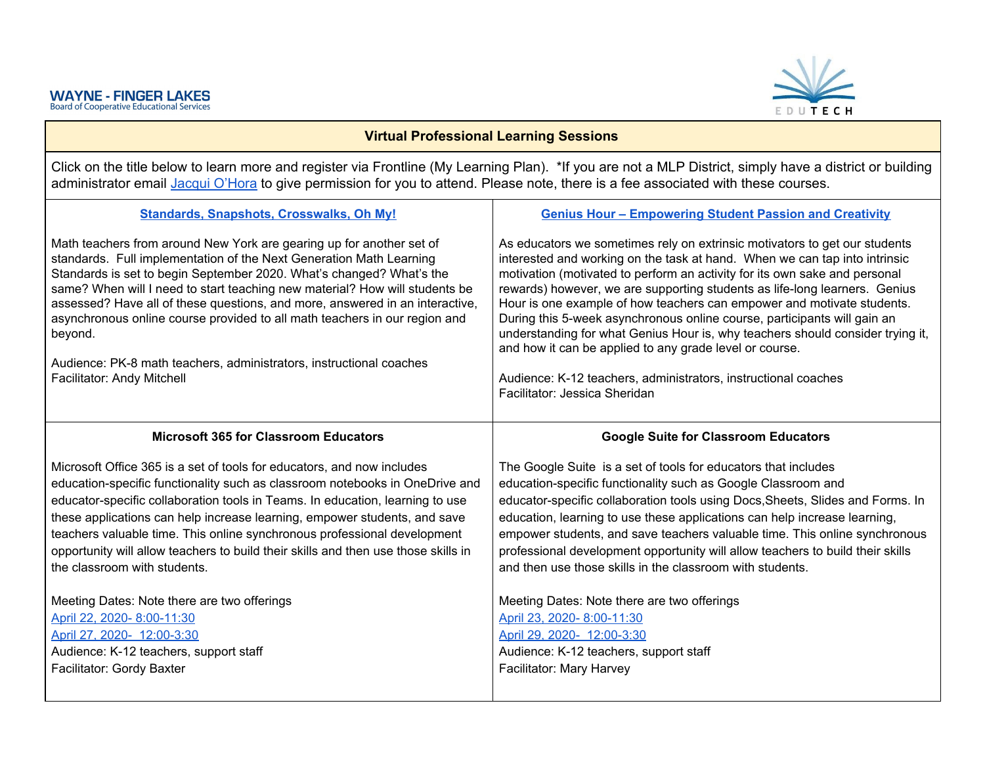

<span id="page-2-0"></span>

| <b>Virtual Professional Learning Sessions</b>                                                                                                                                                                                                                                                  |                                                                                |  |  |  |  |
|------------------------------------------------------------------------------------------------------------------------------------------------------------------------------------------------------------------------------------------------------------------------------------------------|--------------------------------------------------------------------------------|--|--|--|--|
| Click on the title below to learn more and register via Frontline (My Learning Plan). *If you are not a MLP District, simply have a district or building<br>administrator email Jacqui O'Hora to give permission for you to attend. Please note, there is a fee associated with these courses. |                                                                                |  |  |  |  |
| <b>Standards, Snapshots, Crosswalks, Oh My!</b>                                                                                                                                                                                                                                                | <b>Genius Hour - Empowering Student Passion and Creativity</b>                 |  |  |  |  |
| Math teachers from around New York are gearing up for another set of                                                                                                                                                                                                                           | As educators we sometimes rely on extrinsic motivators to get our students     |  |  |  |  |
| standards. Full implementation of the Next Generation Math Learning                                                                                                                                                                                                                            | interested and working on the task at hand. When we can tap into intrinsic     |  |  |  |  |
| Standards is set to begin September 2020. What's changed? What's the                                                                                                                                                                                                                           | motivation (motivated to perform an activity for its own sake and personal     |  |  |  |  |
| same? When will I need to start teaching new material? How will students be                                                                                                                                                                                                                    | rewards) however, we are supporting students as life-long learners. Genius     |  |  |  |  |
| assessed? Have all of these questions, and more, answered in an interactive,                                                                                                                                                                                                                   | Hour is one example of how teachers can empower and motivate students.         |  |  |  |  |
| asynchronous online course provided to all math teachers in our region and                                                                                                                                                                                                                     | During this 5-week asynchronous online course, participants will gain an       |  |  |  |  |
| beyond.                                                                                                                                                                                                                                                                                        | understanding for what Genius Hour is, why teachers should consider trying it, |  |  |  |  |
| Audience: PK-8 math teachers, administrators, instructional coaches                                                                                                                                                                                                                            | and how it can be applied to any grade level or course.                        |  |  |  |  |
| Facilitator: Andy Mitchell                                                                                                                                                                                                                                                                     | Audience: K-12 teachers, administrators, instructional coaches                 |  |  |  |  |
| <b>Microsoft 365 for Classroom Educators</b>                                                                                                                                                                                                                                                   | Facilitator: Jessica Sheridan<br><b>Google Suite for Classroom Educators</b>   |  |  |  |  |
| Microsoft Office 365 is a set of tools for educators, and now includes                                                                                                                                                                                                                         | The Google Suite is a set of tools for educators that includes                 |  |  |  |  |
| education-specific functionality such as classroom notebooks in OneDrive and                                                                                                                                                                                                                   | education-specific functionality such as Google Classroom and                  |  |  |  |  |
| educator-specific collaboration tools in Teams. In education, learning to use                                                                                                                                                                                                                  | educator-specific collaboration tools using Docs, Sheets, Slides and Forms. In |  |  |  |  |
| these applications can help increase learning, empower students, and save                                                                                                                                                                                                                      | education, learning to use these applications can help increase learning,      |  |  |  |  |
| teachers valuable time. This online synchronous professional development                                                                                                                                                                                                                       | empower students, and save teachers valuable time. This online synchronous     |  |  |  |  |
| opportunity will allow teachers to build their skills and then use those skills in                                                                                                                                                                                                             | professional development opportunity will allow teachers to build their skills |  |  |  |  |
| the classroom with students.                                                                                                                                                                                                                                                                   | and then use those skills in the classroom with students.                      |  |  |  |  |
| Meeting Dates: Note there are two offerings                                                                                                                                                                                                                                                    | Meeting Dates: Note there are two offerings                                    |  |  |  |  |
| April 22, 2020-8:00-11:30                                                                                                                                                                                                                                                                      | April 23, 2020-8:00-11:30                                                      |  |  |  |  |
| April 27, 2020- 12:00-3:30                                                                                                                                                                                                                                                                     | April 29, 2020- 12:00-3:30                                                     |  |  |  |  |
| Audience: K-12 teachers, support staff                                                                                                                                                                                                                                                         | Audience: K-12 teachers, support staff                                         |  |  |  |  |
| Facilitator: Gordy Baxter                                                                                                                                                                                                                                                                      | Facilitator: Mary Harvey                                                       |  |  |  |  |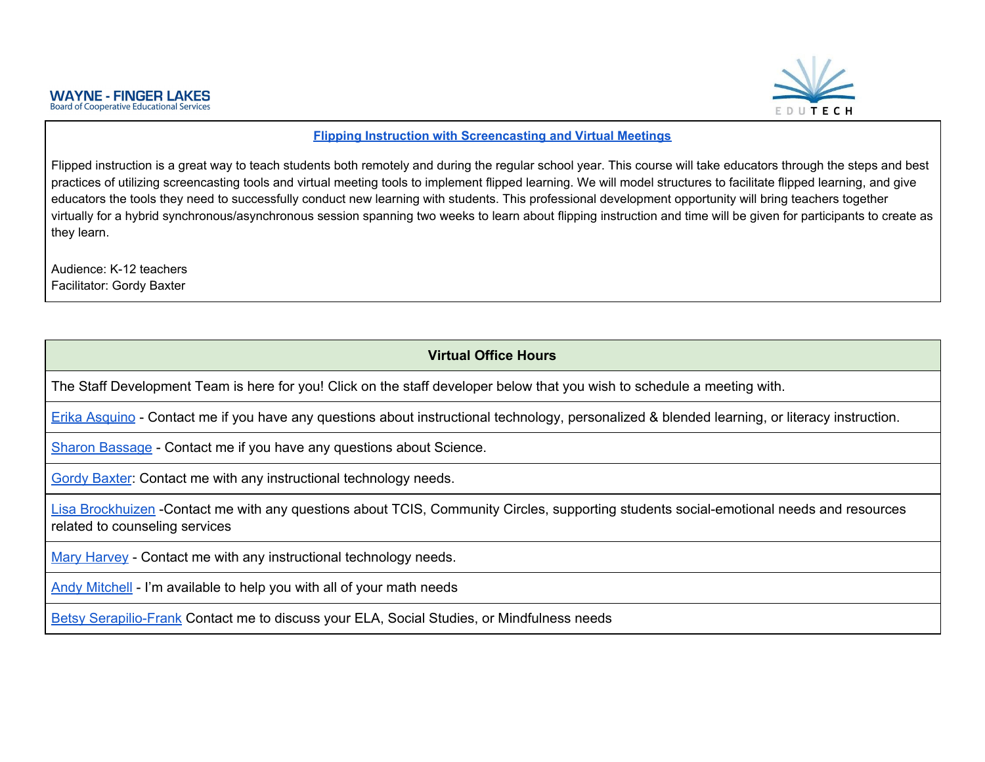

#### <span id="page-3-0"></span>**Flipping Instruction with [Screencasting](https://www.mylearningplan.com/WebReg/ActivityProfile.asp?D=18662&I=3458940) and Virtual Meetings**

Flipped instruction is a great way to teach students both remotely and during the regular school year. This course will take educators through the steps and best practices of utilizing screencasting tools and virtual meeting tools to implement flipped learning. We will model structures to facilitate flipped learning, and give educators the tools they need to successfully conduct new learning with students. This professional development opportunity will bring teachers together virtually for a hybrid synchronous/asynchronous session spanning two weeks to learn about flipping instruction and time will be given for participants to create as they learn.

Audience: K-12 teachers Facilitator: Gordy Baxter

| <b>Virtual Office Hours</b>                                                                                                                                               |  |  |  |  |
|---------------------------------------------------------------------------------------------------------------------------------------------------------------------------|--|--|--|--|
| The Staff Development Team is here for you! Click on the staff developer below that you wish to schedule a meeting with.                                                  |  |  |  |  |
| Erika Asquino - Contact me if you have any questions about instructional technology, personalized & blended learning, or literacy instruction.                            |  |  |  |  |
| Sharon Bassage - Contact me if you have any questions about Science.                                                                                                      |  |  |  |  |
| <b>Gordy Baxter:</b> Contact me with any instructional technology needs.                                                                                                  |  |  |  |  |
| Lisa Brockhuizen -Contact me with any questions about TCIS, Community Circles, supporting students social-emotional needs and resources<br>related to counseling services |  |  |  |  |
| Mary Harvey - Contact me with any instructional technology needs.                                                                                                         |  |  |  |  |
| Andy Mitchell - I'm available to help you with all of your math needs                                                                                                     |  |  |  |  |
| <b>Betsy Serapilio-Frank Contact me to discuss your ELA, Social Studies, or Mindfulness needs</b>                                                                         |  |  |  |  |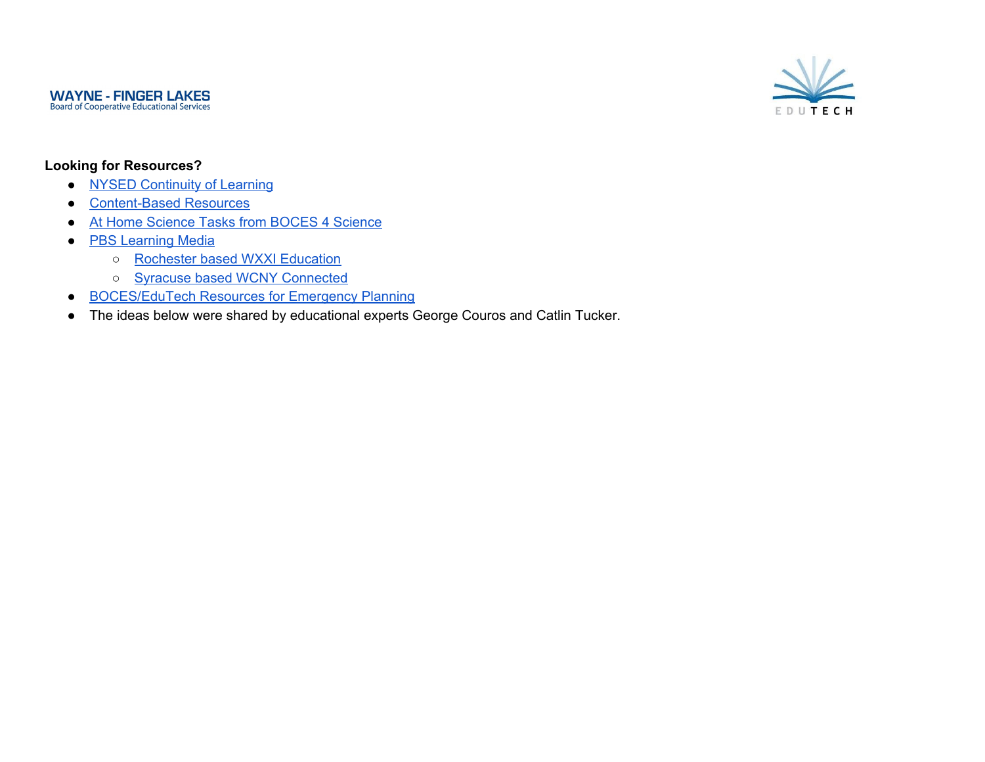



### <span id="page-4-0"></span>**Looking for Resources?**

- NYSED [Continuity](http://www.nysed.gov/edtech/continuity-learning) of Learning
- [Content-Based](https://resources.finalsite.net/images/v1584376377/wflbocesorg/kyrl4aeceijf7t0bztbb/ContentBasedResourcesforEducators.pdf) Resources
- At Home [Science](https://sites.google.com/wflboces.org/boces4science/all-science-curriculum-units/tasks-for-at-home-students) Tasks from BOCES 4 Science
- **PBS [Learning](https://ny.pbslearningmedia.org/) Media** 
	- [Rochester](https://www.wxxi.org/education) based WXXI Education
	- o Syracuse based WCNY [Connected](http://www.wcny.org/stayconnected/)
- [BOCES/EduTech](https://www.edutech.org/resources/resources-for-emergency-planning) Resources for Emergency Planning
- The ideas below were shared by educational experts George Couros and Catlin Tucker.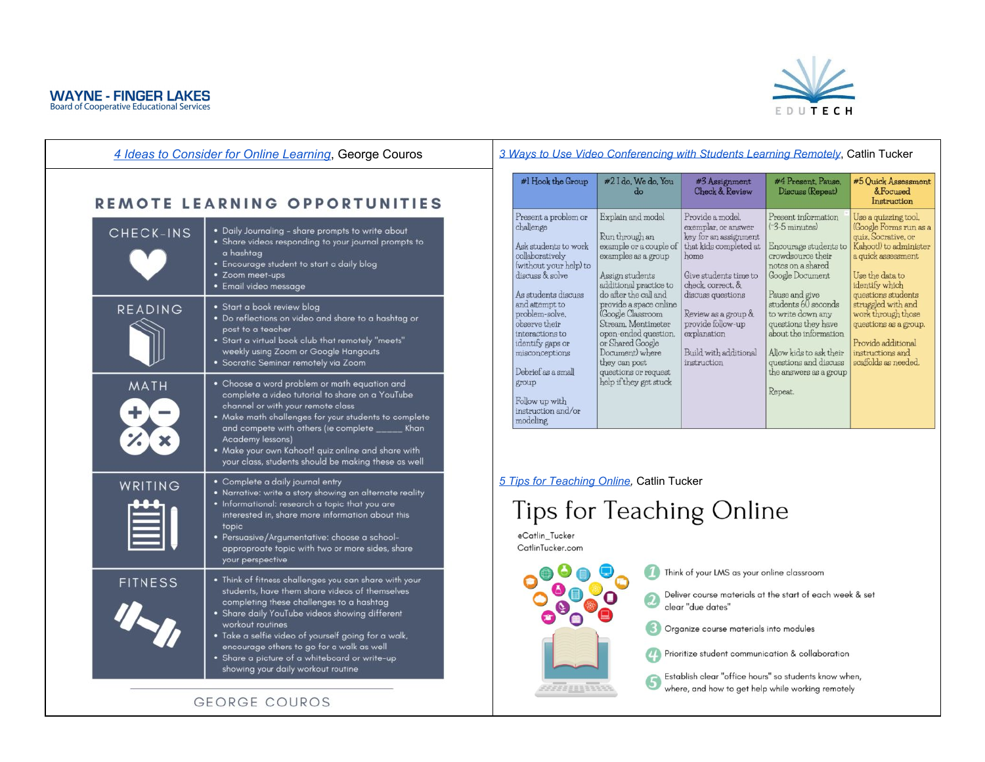



| 4 Ideas to Consider for Online Learning, George Couros |                                                                                                                                                                                                                                                                                                                                                                                                                      |  |  |  |
|--------------------------------------------------------|----------------------------------------------------------------------------------------------------------------------------------------------------------------------------------------------------------------------------------------------------------------------------------------------------------------------------------------------------------------------------------------------------------------------|--|--|--|
| REMOTE LEARNING OPPORTUNITIES                          |                                                                                                                                                                                                                                                                                                                                                                                                                      |  |  |  |
| CHECK-INS                                              | • Daily Journaling – share prompts to write about<br>• Share videos responding to your journal prompts to<br>a hashtag<br>• Encourage student to start a daily blog<br>• Zoom meet-ups<br>· Email video message                                                                                                                                                                                                      |  |  |  |
| <b>READING</b>                                         | • Start a book review blog<br>• Do reflections on video and share to a hashtag or<br>post to a teacher<br>• Start a virtual book club that remotely "meets"<br>weekly using Zoom or Google Hangouts<br>• Socratic Seminar remotely via Zoom                                                                                                                                                                          |  |  |  |
| MATH<br>×                                              | • Choose a word problem or math equation and<br>complete a video tutorial to share on a YouTube<br>channel or with your remote class<br>• Make math challenges for your students to complete<br>and compete with others (ie complete _______ Khan<br>Academy lessons)<br>• Make your own Kahoot! quiz online and share with<br>your class, students should be making these as well                                   |  |  |  |
| WRITING                                                | • Complete a daily journal entry<br>. Narrative: write a story showing an alternate reality<br>• Informational: research a topic that you are<br>interested in, share more information about this<br>topic<br>• Persuasive/Argumentative: choose a school-<br>approproate topic with two or more sides, share<br>your perspective                                                                                    |  |  |  |
| FITNESS                                                | • Think of fitness challenges you can share with your<br>students, have them share videos of themselves<br>completing these challenges to a hashtag<br>• Share daily YouTube videos showing different<br>workout routines<br>• Take a selfie video of yourself going for a walk,<br>encourage others to go for a walk as well<br>• Share a picture of a whiteboard or write-up<br>showing your daily workout routine |  |  |  |

#### 3 Ways to Use Video Conferencing with Students Learning Remotely, Catlin Tucker

| #I Hook the Group                                                                                                                                                                                                                                                                                                                                 | #2 I do, We do, You<br>do                                                                                                                                                                                                                                                                                                                                         | $#3$ Assignment<br><b>Check &amp; Review</b>                                                                                                                                                                                                                             | #4 Present, Pause,<br>Discuss (Repeat)                                                                                                                                                                                                                                                                                                       | #5 Ouick Assessment<br>& Focused<br>Instruction                                                                                                                                                                                                                                                                         |
|---------------------------------------------------------------------------------------------------------------------------------------------------------------------------------------------------------------------------------------------------------------------------------------------------------------------------------------------------|-------------------------------------------------------------------------------------------------------------------------------------------------------------------------------------------------------------------------------------------------------------------------------------------------------------------------------------------------------------------|--------------------------------------------------------------------------------------------------------------------------------------------------------------------------------------------------------------------------------------------------------------------------|----------------------------------------------------------------------------------------------------------------------------------------------------------------------------------------------------------------------------------------------------------------------------------------------------------------------------------------------|-------------------------------------------------------------------------------------------------------------------------------------------------------------------------------------------------------------------------------------------------------------------------------------------------------------------------|
| Present a problem or<br>challenge<br>Ask students to work<br>collaboratively<br>(without your help) to<br>discuss & solve<br>As students discuss<br>and attempt to<br>problem-solve.<br>observe their<br>interactions to<br>identify gaps or<br>misconceptions<br>Debrief as a small<br>group<br>Follow up with<br>instruction and/or<br>modeling | Explain and model<br>Run through an<br>example or a couple of<br>examples as a group<br>Assign students<br>additional practice to<br>do after the call and<br>provide a space online<br>(Google Classroom<br>Stream, Mentimeter<br>open-ended question.<br>or Shared Google<br>Document) where<br>they can post<br>questions or request<br>help if they get stuck | Provide a model.<br>exemplar, or answer<br>key for an assignment<br>that kids completed at<br>home<br>Give students time to<br>check, correct, &<br>discuss questions<br>Review as a group &<br>provide follow-up<br>explanation<br>Build with additional<br>instruction | Present information<br>$(-3.5 \text{ minutes})$<br>Encourage students to<br>crowdsource their<br>notes on a shared<br>Google Document<br>Pause and give<br>students 60 seconds<br>to write down any<br>questions they have<br>about the information<br>Allow kids to ask their<br>questions and discuss<br>the answers as a group<br>Repeat. | Use a quizzing tool,<br>(Google Forms run as a<br>quiz, Socrative, or<br>Kahootl) to administer<br>a quick assessment<br>Use the data to<br>identify which<br>questions students<br>struggled with and<br>work through those<br>questions as a group.<br>Provide additional<br>instructions and<br>scaffolds as needed. |

#### 5 Tips for Teaching Online, Catlin Tucker

# Tips for Teaching Online

eCatlin\_Tucker CatlinTucker.com



Think of your LMS as your online classroom

Deliver course materials at the start of each week & set മ clear "due dates"

**Conducts** Organize course materials into modules

Prioritize student communication & collaboration

Establish clear "office hours" so students know when, G where, and how to get help while working remotely

GEORGE COUROS